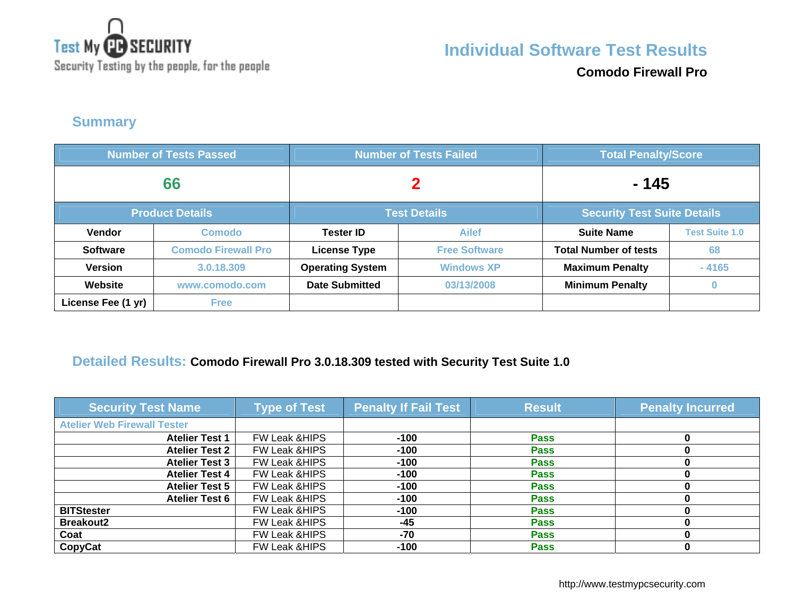

**Comodo Firewall Pro**

### **Summary**

| <b>Number of Tests Passed</b> |                            | <b>Number of Tests Failed</b>                             |                      | <b>Total Penalty/Score</b>   |                       |
|-------------------------------|----------------------------|-----------------------------------------------------------|----------------------|------------------------------|-----------------------|
| 66                            |                            | 2                                                         |                      | - 145                        |                       |
|                               | <b>Product Details</b>     | <b>Security Test Suite Details</b><br><b>Test Details</b> |                      |                              |                       |
| Vendor                        | <b>Comodo</b>              | <b>Tester ID</b>                                          | <b>Ailef</b>         | <b>Suite Name</b>            | <b>Test Suite 1.0</b> |
| <b>Software</b>               | <b>Comodo Firewall Pro</b> | <b>License Type</b>                                       | <b>Free Software</b> | <b>Total Number of tests</b> | 68                    |
| <b>Version</b>                | 3.0.18.309                 | <b>Operating System</b>                                   | <b>Windows XP</b>    | <b>Maximum Penalty</b>       | $-4165$               |
| Website                       | www.comodo.com             | <b>Date Submitted</b>                                     | 03/13/2008           | <b>Minimum Penalty</b>       | $\bf{0}$              |
| License Fee (1 yr)            | <b>Free</b>                |                                                           |                      |                              |                       |

### **Detailed Results: Comodo Firewall Pro 3.0.18.309 tested with Security Test Suite 1.0**

| <b>Security Test Name</b>          | <b>Type of Test</b>      | <b>Penalty If Fail Test</b> | <b>Result</b> | <b>Penalty Incurred</b> |
|------------------------------------|--------------------------|-----------------------------|---------------|-------------------------|
| <b>Atelier Web Firewall Tester</b> |                          |                             |               |                         |
| <b>Atelier Test 1</b>              | FW Leak & HIPS           | $-100$                      | <b>Pass</b>   |                         |
| <b>Atelier Test 2</b>              | FW Leak & HIPS           | $-100$                      | <b>Pass</b>   |                         |
| <b>Atelier Test 3</b>              | FW Leak & HIPS           | $-100$                      | <b>Pass</b>   |                         |
| <b>Atelier Test 4</b>              | FW Leak & HIPS           | $-100$                      | <b>Pass</b>   |                         |
| <b>Atelier Test 5</b>              | FW Leak & HIPS           | $-100$                      | <b>Pass</b>   |                         |
| <b>Atelier Test 6</b>              | FW Leak & HIPS           | $-100$                      | <b>Pass</b>   |                         |
| <b>BITStester</b>                  | FW Leak & HIPS           | $-100$                      | <b>Pass</b>   |                         |
| <b>Breakout2</b>                   | FW Leak & HIPS           | $-45$                       | <b>Pass</b>   |                         |
| Coat                               | FW Leak & HIPS           | -70                         | <b>Pass</b>   |                         |
| CopyCat                            | <b>FW Leak &amp;HIPS</b> | $-100$                      | <b>Pass</b>   |                         |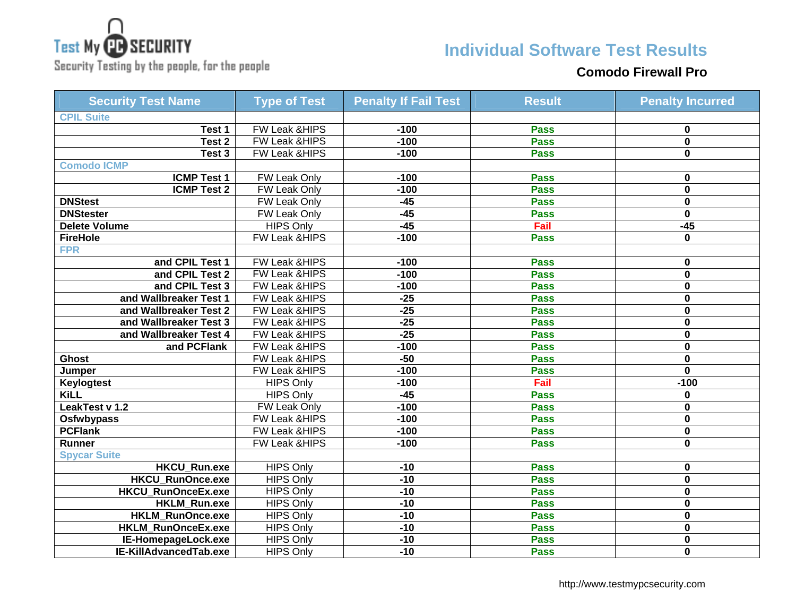

# **Individual Software Test Results**

Security Testing by the people, for the people

#### **Comodo Firewall Pro**

| <b>Security Test Name</b> | <b>Type of Test</b>      | <b>Penalty If Fail Test</b> | <b>Result</b> | <b>Penalty Incurred</b> |
|---------------------------|--------------------------|-----------------------------|---------------|-------------------------|
| <b>CPIL Suite</b>         |                          |                             |               |                         |
| Test 1                    | FW Leak &HIPS            | $-100$                      | <b>Pass</b>   | 0                       |
| Test <sub>2</sub>         | FW Leak &HIPS            | $-100$                      | <b>Pass</b>   | $\mathbf 0$             |
| Test 3                    | FW Leak & HIPS           | $-100$                      | <b>Pass</b>   | 0                       |
| <b>Comodo ICMP</b>        |                          |                             |               |                         |
| <b>ICMP Test 1</b>        | <b>FW Leak Only</b>      | $-100$                      | <b>Pass</b>   | 0                       |
| <b>ICMP Test 2</b>        | <b>FW Leak Only</b>      | $-100$                      | <b>Pass</b>   | $\mathbf 0$             |
| <b>DNStest</b>            | FW Leak Only             | $-45$                       | <b>Pass</b>   | 0                       |
| <b>DNStester</b>          | FW Leak Only             | $-45$                       | <b>Pass</b>   | $\bf{0}$                |
| Delete Volume             | <b>HIPS Only</b>         | $-45$                       | Fail          | $-45$                   |
| <b>FireHole</b>           | <b>FW Leak &amp;HIPS</b> | $-100$                      | <b>Pass</b>   | 0                       |
| <b>FPR</b>                |                          |                             |               |                         |
| and CPIL Test 1           | FW Leak & HIPS           | $-100$                      | <b>Pass</b>   | 0                       |
| and CPIL Test 2           | FW Leak & HIPS           | $-100$                      | <b>Pass</b>   | $\mathbf 0$             |
| and CPIL Test 3           | <b>FW Leak &amp;HIPS</b> | $-100$                      | <b>Pass</b>   | $\mathbf{0}$            |
| and Wallbreaker Test 1    | FW Leak &HIPS            | $-25$                       | <b>Pass</b>   | $\mathbf 0$             |
| and Wallbreaker Test 2    | FW Leak &HIPS            | $-25$                       | <b>Pass</b>   | $\mathbf 0$             |
| and Wallbreaker Test 3    | FW Leak &HIPS            | $-25$                       | <b>Pass</b>   | 0                       |
| and Wallbreaker Test 4    | FW Leak &HIPS            | $-25$                       | <b>Pass</b>   | 0                       |
| and PCFlank               | FW Leak & HIPS           | $-100$                      | <b>Pass</b>   | 0                       |
| <b>Ghost</b>              | <b>FW Leak &amp;HIPS</b> | $-50$                       | <b>Pass</b>   | $\mathbf 0$             |
| Jumper                    | <b>FW Leak &amp;HIPS</b> | $-100$                      | <b>Pass</b>   | $\mathbf{0}$            |
| Keylogtest                | <b>HIPS Only</b>         | $-100$                      | Fail          | $-100$                  |
| KiLL                      | <b>HIPS Only</b>         | $-45$                       | <b>Pass</b>   | 0                       |
| LeakTest v 1.2            | FW Leak Only             | $-100$                      | <b>Pass</b>   | 0                       |
| <b>Osfwbypass</b>         | FW Leak &HIPS            | $-100$                      | <b>Pass</b>   | 0                       |
| <b>PCFlank</b>            | <b>FW Leak &amp;HIPS</b> | $-100$                      | <b>Pass</b>   | 0                       |
| Runner                    | FW Leak & HIPS           | $-100$                      | <b>Pass</b>   | $\mathbf 0$             |
| <b>Spycar Suite</b>       |                          |                             |               |                         |
| <b>HKCU Run.exe</b>       | <b>HIPS Only</b>         | $-10$                       | <b>Pass</b>   | $\mathbf 0$             |
| <b>HKCU RunOnce.exe</b>   | <b>HIPS Only</b>         | $-10$                       | <b>Pass</b>   | $\mathbf 0$             |
| <b>HKCU RunOnceEx.exe</b> | <b>HIPS Only</b>         | $-10$                       | <b>Pass</b>   | $\mathbf 0$             |
| HKLM_Run.exe              | <b>HIPS Only</b>         | $-10$                       | <b>Pass</b>   | 0                       |
| HKLM_RunOnce.exe          | <b>HIPS Only</b>         | $-10$                       | <b>Pass</b>   | 0                       |
| HKLM_RunOnceEx.exe        | <b>HIPS Only</b>         | $-10$                       | <b>Pass</b>   | $\mathbf 0$             |
| IE-HomepageLock.exe       | <b>HIPS Only</b>         | $-10$                       | <b>Pass</b>   | 0                       |
| IE-KillAdvancedTab.exe    | <b>HIPS Only</b>         | $-10$                       | <b>Pass</b>   | $\mathbf{0}$            |